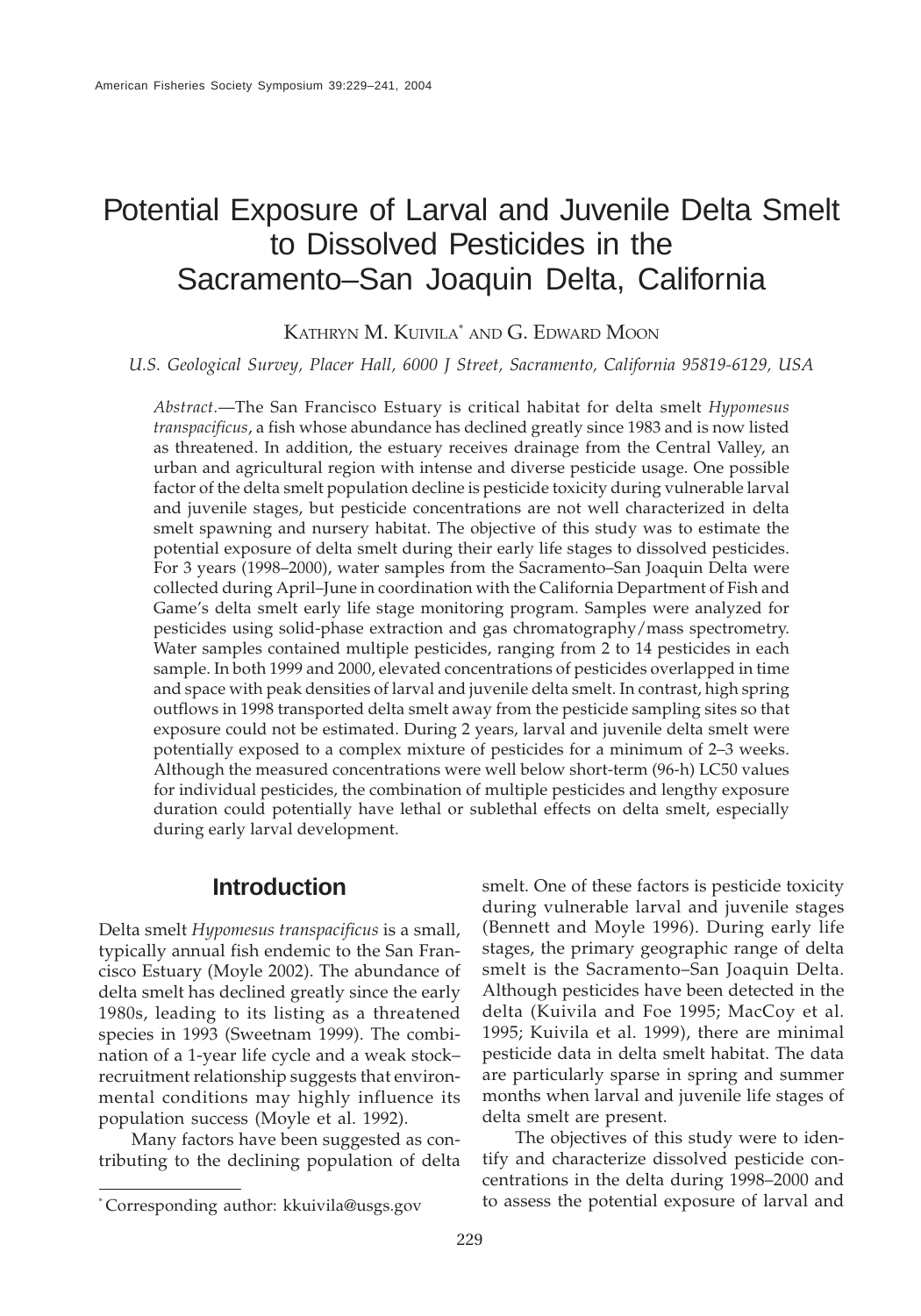# Potential Exposure of Larval and Juvenile Delta Smelt to Dissolved Pesticides in the Sacramento–San Joaquin Delta, California

KATHRYN M. KUIVILA\* AND G. EDWARD MOON

*U.S. Geological Survey, Placer Hall, 6000 J Street, Sacramento, California 95819-6129, USA*

*Abstract.*—The San Francisco Estuary is critical habitat for delta smelt *Hypomesus transpacificus*, a fish whose abundance has declined greatly since 1983 and is now listed as threatened. In addition, the estuary receives drainage from the Central Valley, an urban and agricultural region with intense and diverse pesticide usage. One possible factor of the delta smelt population decline is pesticide toxicity during vulnerable larval and juvenile stages, but pesticide concentrations are not well characterized in delta smelt spawning and nursery habitat. The objective of this study was to estimate the potential exposure of delta smelt during their early life stages to dissolved pesticides. For 3 years (1998–2000), water samples from the Sacramento–San Joaquin Delta were collected during April–June in coordination with the California Department of Fish and Game's delta smelt early life stage monitoring program. Samples were analyzed for pesticides using solid-phase extraction and gas chromatography/mass spectrometry. Water samples contained multiple pesticides, ranging from 2 to 14 pesticides in each sample. In both 1999 and 2000, elevated concentrations of pesticides overlapped in time and space with peak densities of larval and juvenile delta smelt. In contrast, high spring outflows in 1998 transported delta smelt away from the pesticide sampling sites so that exposure could not be estimated. During 2 years, larval and juvenile delta smelt were potentially exposed to a complex mixture of pesticides for a minimum of 2–3 weeks. Although the measured concentrations were well below short-term (96-h) LC50 values for individual pesticides, the combination of multiple pesticides and lengthy exposure duration could potentially have lethal or sublethal effects on delta smelt, especially during early larval development.

# **Introduction**

Delta smelt *Hypomesus transpacificus* is a small, typically annual fish endemic to the San Francisco Estuary (Moyle 2002). The abundance of delta smelt has declined greatly since the early 1980s, leading to its listing as a threatened species in 1993 (Sweetnam 1999). The combination of a 1-year life cycle and a weak stock– recruitment relationship suggests that environmental conditions may highly influence its population success (Moyle et al. 1992).

Many factors have been suggested as contributing to the declining population of delta

(Bennett and Moyle 1996). During early life stages, the primary geographic range of delta smelt is the Sacramento–San Joaquin Delta. Although pesticides have been detected in the delta (Kuivila and Foe 1995; MacCoy et al. 1995; Kuivila et al. 1999), there are minimal pesticide data in delta smelt habitat. The data are particularly sparse in spring and summer months when larval and juvenile life stages of delta smelt are present.

smelt. One of these factors is pesticide toxicity during vulnerable larval and juvenile stages

The objectives of this study were to identify and characterize dissolved pesticide concentrations in the delta during 1998–2000 and to assess the potential exposure of larval and

<sup>\*</sup> Corresponding author: kkuivila@usgs.gov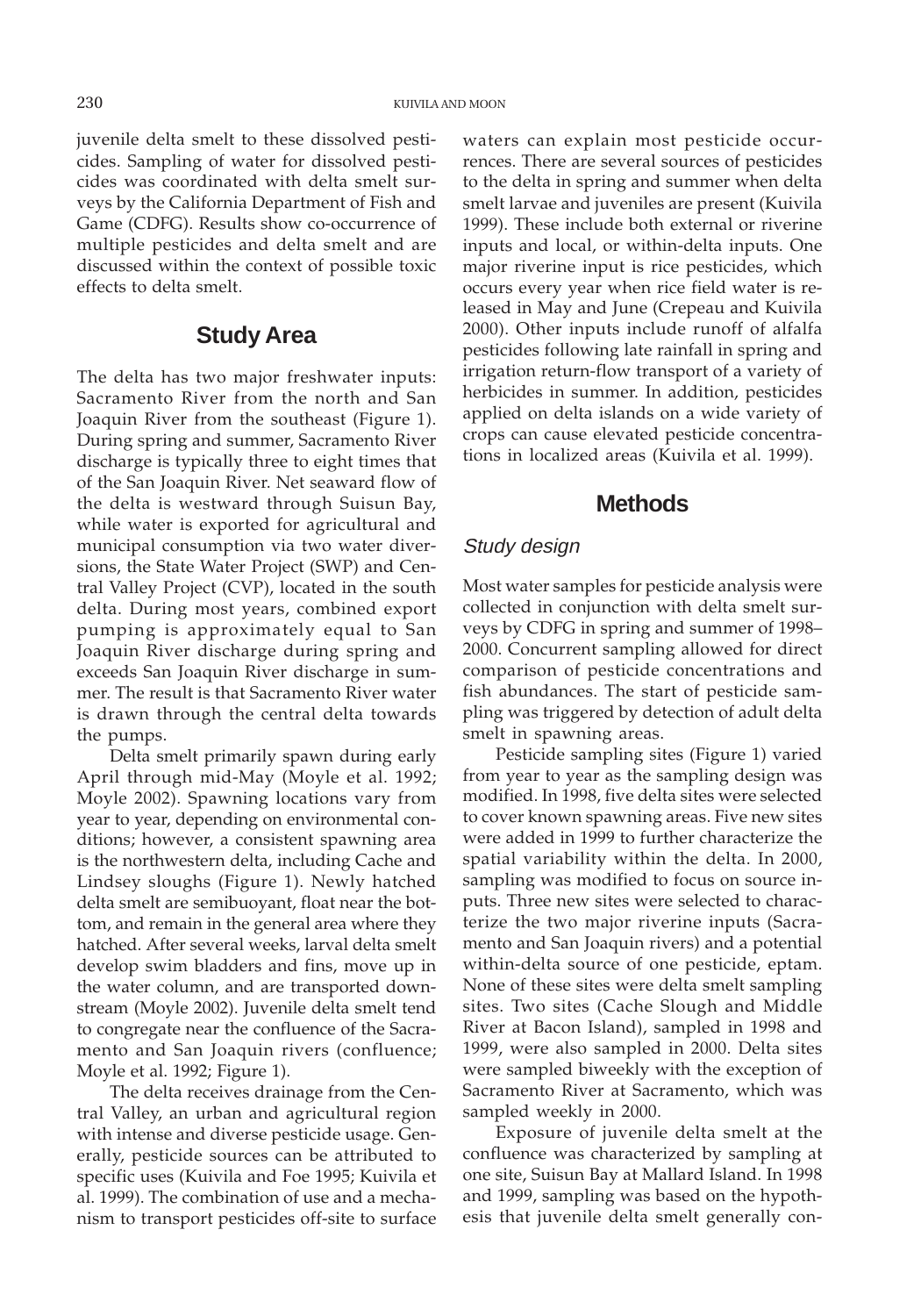juvenile delta smelt to these dissolved pesticides. Sampling of water for dissolved pesticides was coordinated with delta smelt surveys by the California Department of Fish and Game (CDFG). Results show co-occurrence of multiple pesticides and delta smelt and are discussed within the context of possible toxic effects to delta smelt.

## **Study Area**

The delta has two major freshwater inputs: Sacramento River from the north and San Joaquin River from the southeast (Figure 1). During spring and summer, Sacramento River discharge is typically three to eight times that of the San Joaquin River. Net seaward flow of the delta is westward through Suisun Bay, while water is exported for agricultural and municipal consumption via two water diversions, the State Water Project (SWP) and Central Valley Project (CVP), located in the south delta. During most years, combined export pumping is approximately equal to San Joaquin River discharge during spring and exceeds San Joaquin River discharge in summer. The result is that Sacramento River water is drawn through the central delta towards the pumps.

Delta smelt primarily spawn during early April through mid-May (Moyle et al. 1992; Moyle 2002). Spawning locations vary from year to year, depending on environmental conditions; however, a consistent spawning area is the northwestern delta, including Cache and Lindsey sloughs (Figure 1). Newly hatched delta smelt are semibuoyant, float near the bottom, and remain in the general area where they hatched. After several weeks, larval delta smelt develop swim bladders and fins, move up in the water column, and are transported downstream (Moyle 2002). Juvenile delta smelt tend to congregate near the confluence of the Sacramento and San Joaquin rivers (confluence; Moyle et al. 1992; Figure 1).

The delta receives drainage from the Central Valley, an urban and agricultural region with intense and diverse pesticide usage. Generally, pesticide sources can be attributed to specific uses (Kuivila and Foe 1995; Kuivila et al. 1999). The combination of use and a mechanism to transport pesticides off-site to surface waters can explain most pesticide occurrences. There are several sources of pesticides to the delta in spring and summer when delta smelt larvae and juveniles are present (Kuivila 1999). These include both external or riverine inputs and local, or within-delta inputs. One major riverine input is rice pesticides, which occurs every year when rice field water is released in May and June (Crepeau and Kuivila 2000). Other inputs include runoff of alfalfa pesticides following late rainfall in spring and irrigation return-flow transport of a variety of herbicides in summer. In addition, pesticides applied on delta islands on a wide variety of crops can cause elevated pesticide concentrations in localized areas (Kuivila et al. 1999).

## **Methods**

#### Study design

Most water samples for pesticide analysis were collected in conjunction with delta smelt surveys by CDFG in spring and summer of 1998– 2000. Concurrent sampling allowed for direct comparison of pesticide concentrations and fish abundances. The start of pesticide sampling was triggered by detection of adult delta smelt in spawning areas.

Pesticide sampling sites (Figure 1) varied from year to year as the sampling design was modified. In 1998, five delta sites were selected to cover known spawning areas. Five new sites were added in 1999 to further characterize the spatial variability within the delta. In 2000, sampling was modified to focus on source inputs. Three new sites were selected to characterize the two major riverine inputs (Sacramento and San Joaquin rivers) and a potential within-delta source of one pesticide, eptam. None of these sites were delta smelt sampling sites. Two sites (Cache Slough and Middle River at Bacon Island), sampled in 1998 and 1999, were also sampled in 2000. Delta sites were sampled biweekly with the exception of Sacramento River at Sacramento, which was sampled weekly in 2000.

Exposure of juvenile delta smelt at the confluence was characterized by sampling at one site, Suisun Bay at Mallard Island. In 1998 and 1999, sampling was based on the hypothesis that juvenile delta smelt generally con-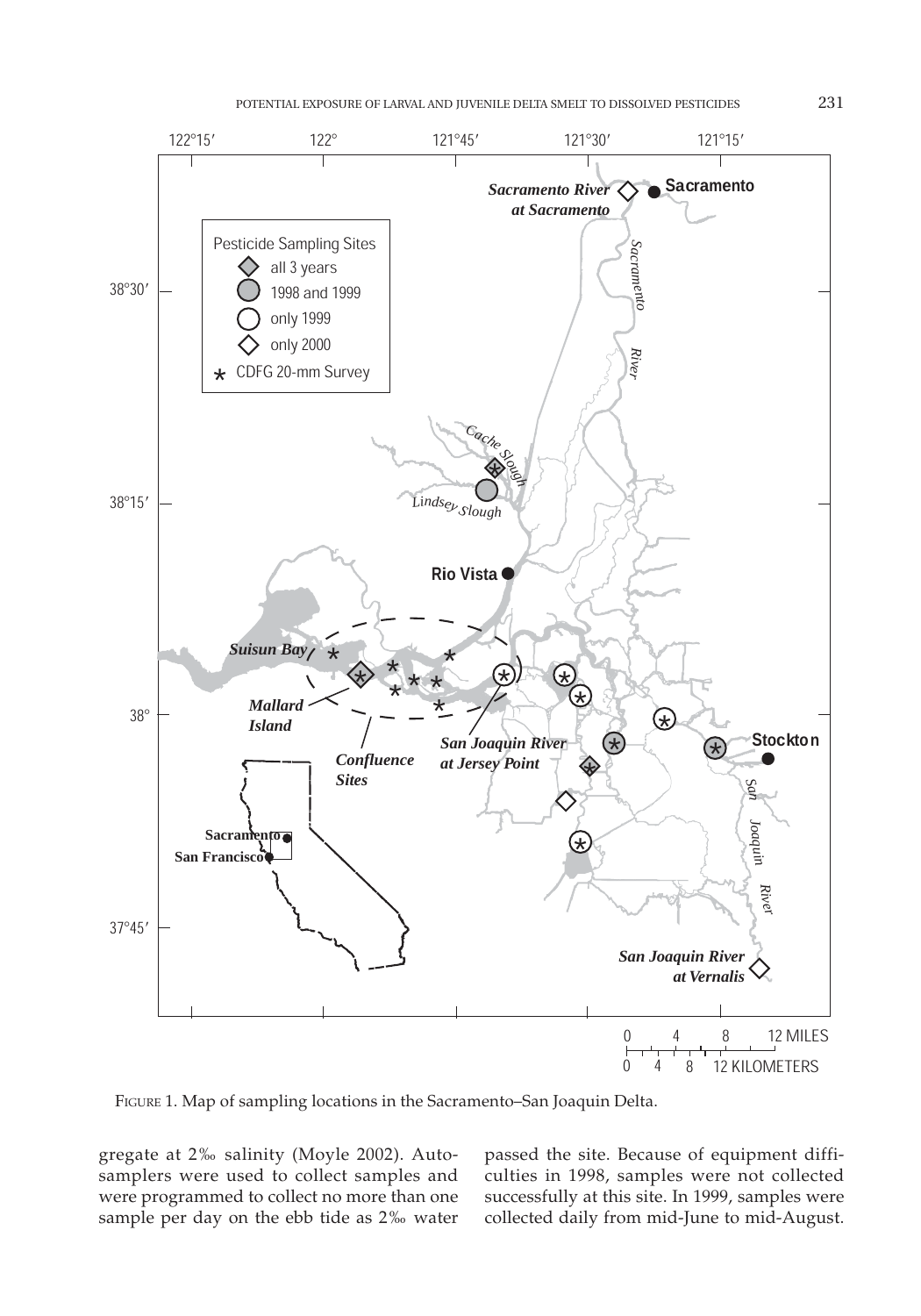

FIGURE 1. Map of sampling locations in the Sacramento–San Joaquin Delta.

gregate at 2‰ salinity (Moyle 2002). Autosamplers were used to collect samples and were programmed to collect no more than one sample per day on the ebb tide as 2‰ water passed the site. Because of equipment difficulties in 1998, samples were not collected successfully at this site. In 1999, samples were collected daily from mid-June to mid-August.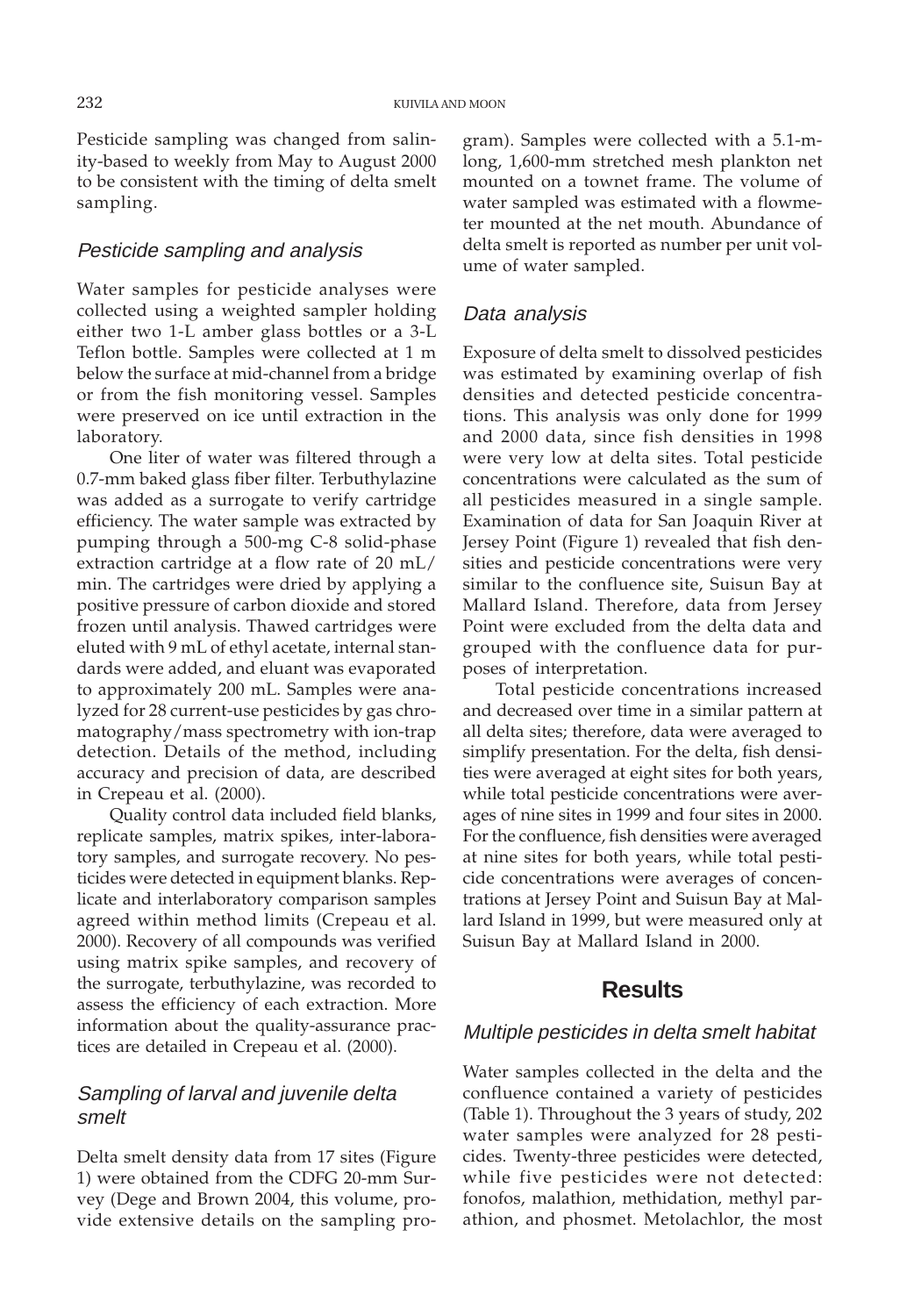Pesticide sampling was changed from salinity-based to weekly from May to August 2000 to be consistent with the timing of delta smelt sampling.

#### Pesticide sampling and analysis

Water samples for pesticide analyses were collected using a weighted sampler holding either two 1-L amber glass bottles or a 3-L Teflon bottle. Samples were collected at 1 m below the surface at mid-channel from a bridge or from the fish monitoring vessel. Samples were preserved on ice until extraction in the laboratory.

One liter of water was filtered through a 0.7-mm baked glass fiber filter. Terbuthylazine was added as a surrogate to verify cartridge efficiency. The water sample was extracted by pumping through a 500-mg C-8 solid-phase extraction cartridge at a flow rate of 20 mL/ min. The cartridges were dried by applying a positive pressure of carbon dioxide and stored frozen until analysis. Thawed cartridges were eluted with 9 mL of ethyl acetate, internal standards were added, and eluant was evaporated to approximately 200 mL. Samples were analyzed for 28 current-use pesticides by gas chromatography/mass spectrometry with ion-trap detection. Details of the method, including accuracy and precision of data, are described in Crepeau et al. (2000).

Quality control data included field blanks, replicate samples, matrix spikes, inter-laboratory samples, and surrogate recovery. No pesticides were detected in equipment blanks. Replicate and interlaboratory comparison samples agreed within method limits (Crepeau et al. 2000). Recovery of all compounds was verified using matrix spike samples, and recovery of the surrogate, terbuthylazine, was recorded to assess the efficiency of each extraction. More information about the quality-assurance practices are detailed in Crepeau et al. (2000).

## Sampling of larval and juvenile delta smelt

Delta smelt density data from 17 sites (Figure 1) were obtained from the CDFG 20-mm Survey (Dege and Brown 2004, this volume, provide extensive details on the sampling program). Samples were collected with a 5.1-mlong, 1,600-mm stretched mesh plankton net mounted on a townet frame. The volume of water sampled was estimated with a flowmeter mounted at the net mouth. Abundance of delta smelt is reported as number per unit volume of water sampled.

#### Data analysis

Exposure of delta smelt to dissolved pesticides was estimated by examining overlap of fish densities and detected pesticide concentrations. This analysis was only done for 1999 and 2000 data, since fish densities in 1998 were very low at delta sites. Total pesticide concentrations were calculated as the sum of all pesticides measured in a single sample. Examination of data for San Joaquin River at Jersey Point (Figure 1) revealed that fish densities and pesticide concentrations were very similar to the confluence site, Suisun Bay at Mallard Island. Therefore, data from Jersey Point were excluded from the delta data and grouped with the confluence data for purposes of interpretation.

Total pesticide concentrations increased and decreased over time in a similar pattern at all delta sites; therefore, data were averaged to simplify presentation. For the delta, fish densities were averaged at eight sites for both years, while total pesticide concentrations were averages of nine sites in 1999 and four sites in 2000. For the confluence, fish densities were averaged at nine sites for both years, while total pesticide concentrations were averages of concentrations at Jersey Point and Suisun Bay at Mallard Island in 1999, but were measured only at Suisun Bay at Mallard Island in 2000.

## **Results**

#### Multiple pesticides in delta smelt habitat

Water samples collected in the delta and the confluence contained a variety of pesticides (Table 1). Throughout the 3 years of study, 202 water samples were analyzed for 28 pesticides. Twenty-three pesticides were detected, while five pesticides were not detected: fonofos, malathion, methidation, methyl parathion, and phosmet. Metolachlor, the most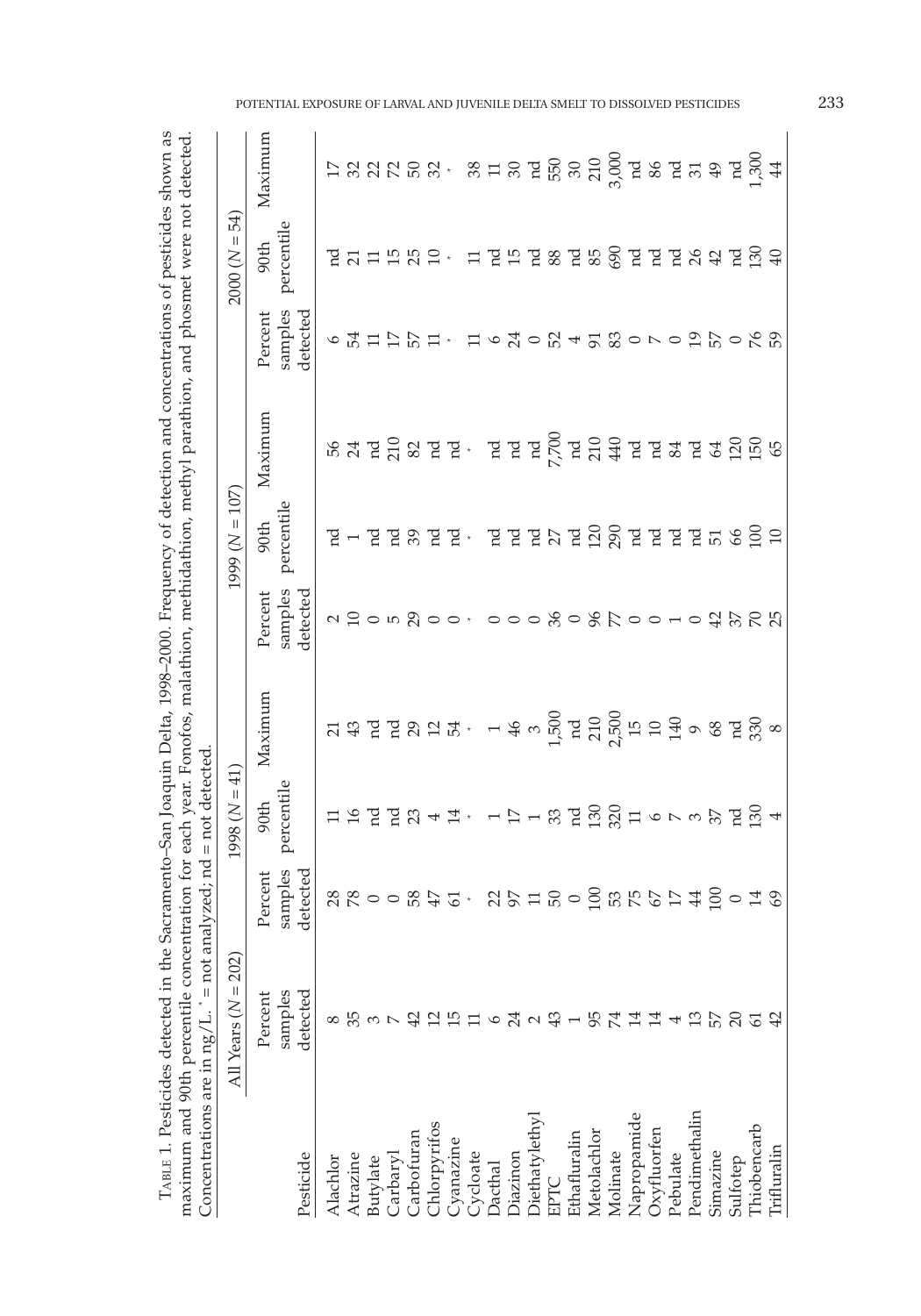| י להתחת                                                              |                                                                                |                                                                                                   |
|----------------------------------------------------------------------|--------------------------------------------------------------------------------|---------------------------------------------------------------------------------------------------|
| こくていき<br>くこくら<br>ļ<br>لاستان ب $\gamma$ ال                           | othing mathing mathing mathing mathing and mi                                  |                                                                                                   |
| Ì<br>- PSP-0<br>Ĩ<br>יה<br>הא<br>LABLE 1. Pesticides detected in the | notor mol<br>UH ALUAN U<br>ntration torran<br>maximum and 90th percentile conc | $a$ ; $nd = not \, detet$<br>in a litra<br>Concentrations are in $n\alpha/L = n\alpha t$ and<br>l |

|                             | $\mathsf{Concentr}$ are in ng/ $\mathsf{L}$ . $=$ not a | $naIVzea; na = nor arecece$                                                                                                                                                                                                   |                                                              |         |                                        |                                                                                                                                                                                                                                                                                                                                                                                                                                                                                  |                                                                                                                                                                                                                                        |                               |                                                                                                                                                                                                                               |         |
|-----------------------------|---------------------------------------------------------|-------------------------------------------------------------------------------------------------------------------------------------------------------------------------------------------------------------------------------|--------------------------------------------------------------|---------|----------------------------------------|----------------------------------------------------------------------------------------------------------------------------------------------------------------------------------------------------------------------------------------------------------------------------------------------------------------------------------------------------------------------------------------------------------------------------------------------------------------------------------|----------------------------------------------------------------------------------------------------------------------------------------------------------------------------------------------------------------------------------------|-------------------------------|-------------------------------------------------------------------------------------------------------------------------------------------------------------------------------------------------------------------------------|---------|
|                             | All Years $(N = 202)$                                   |                                                                                                                                                                                                                               | $1998 (N = 41)$                                              |         |                                        | $1999 (N = 107)$                                                                                                                                                                                                                                                                                                                                                                                                                                                                 |                                                                                                                                                                                                                                        |                               | $2000 (N = 54)$                                                                                                                                                                                                               |         |
|                             | Percent                                                 | Percent                                                                                                                                                                                                                       | 90th                                                         | Maximum | Percent                                | 90th                                                                                                                                                                                                                                                                                                                                                                                                                                                                             | Maximum                                                                                                                                                                                                                                | Percent                       | $90th$                                                                                                                                                                                                                        | Maximum |
| Pesticide                   | samples<br>detected                                     | samples<br>detected                                                                                                                                                                                                           | percentile                                                   |         | samples<br>detected                    | percentile                                                                                                                                                                                                                                                                                                                                                                                                                                                                       |                                                                                                                                                                                                                                        | samples<br>detected           | percentile                                                                                                                                                                                                                    |         |
| Alachlor                    |                                                         |                                                                                                                                                                                                                               | 11 12 12 12 13 4 13 - 12 - 13 12 13 13 14 - 10 - 10 13 13 14 |         |                                        | $\mathbb{F} \dashv \mathbb{F} \not\cong \mathbb{F} \otimes \mathbb{F} \otimes \mathbb{F} \otimes \mathbb{F} \otimes \mathbb{F} \otimes \mathbb{F} \otimes \mathbb{F} \otimes \mathbb{F} \otimes \mathbb{F} \otimes \mathbb{F} \otimes \mathbb{F} \otimes \mathbb{F} \otimes \mathbb{F} \otimes \mathbb{F} \otimes \mathbb{F} \otimes \mathbb{F} \otimes \mathbb{F} \otimes \mathbb{F} \otimes \mathbb{F} \otimes \mathbb{F} \otimes \mathbb{F} \otimes \mathbb{F} \otimes \math$ |                                                                                                                                                                                                                                        |                               |                                                                                                                                                                                                                               |         |
| Atrazine                    |                                                         | $88000892.$ $892.$ $892.$ $892.$ $892.$ $892.$ $892.$ $892.$ $892.$ $892.$ $892.$ $892.$ $892.$ $892.$ $892.$ $892.$ $892.$ $892.$ $892.$ $892.$ $892.$ $892.$ $892.$ $892.$ $892.$ $892.$ $892.$ $892.$ $892.$ $892.$ $892.$ |                                                              |         | 2 12 05 20 0・000 30 % 20 010 4 3 2 2 3 |                                                                                                                                                                                                                                                                                                                                                                                                                                                                                  | <u>នេ ដូច មី ខេត្ត និង ដូច ស្រុក មី ស្រុក មី ស្រុក ម</u> ី ស្រុក មី ស្រុក មី ស្រុក មី ស្រុក ស្រុក ស្រុក ស្រុក ស្រុក ស<br>ស្រុក អ្នក ស្រុក អ្នក ស្រុក ស្រុក ស្រុក ស្រុក ស្រុក ស្រុក ស្រុក ស្រុក ស្រុក ស្រុក ស្រុក ស្រុក ស្រុក ស្រុក ស្រ | 655112151. は630054580709100%9 | $725$ $755$ $755$ $155$ $155$ $155$ $155$ $155$ $155$ $155$ $155$ $155$ $155$ $155$ $155$ $155$ $155$ $155$ $155$ $155$ $155$ $155$ $155$ $155$ $155$ $155$ $155$ $155$ $155$ $155$ $155$ $155$ $155$ $155$ $155$ $155$ $155$ |         |
|                             |                                                         |                                                                                                                                                                                                                               |                                                              |         |                                        |                                                                                                                                                                                                                                                                                                                                                                                                                                                                                  |                                                                                                                                                                                                                                        |                               |                                                                                                                                                                                                                               |         |
| Butylate<br>Carbaryl        |                                                         |                                                                                                                                                                                                                               |                                                              |         |                                        |                                                                                                                                                                                                                                                                                                                                                                                                                                                                                  |                                                                                                                                                                                                                                        |                               |                                                                                                                                                                                                                               |         |
| Carbofuran                  |                                                         |                                                                                                                                                                                                                               |                                                              |         |                                        |                                                                                                                                                                                                                                                                                                                                                                                                                                                                                  |                                                                                                                                                                                                                                        |                               |                                                                                                                                                                                                                               |         |
|                             |                                                         |                                                                                                                                                                                                                               |                                                              |         |                                        |                                                                                                                                                                                                                                                                                                                                                                                                                                                                                  |                                                                                                                                                                                                                                        |                               |                                                                                                                                                                                                                               |         |
| Chlorpyrifos<br>Cyanazine   |                                                         |                                                                                                                                                                                                                               |                                                              |         |                                        |                                                                                                                                                                                                                                                                                                                                                                                                                                                                                  |                                                                                                                                                                                                                                        |                               |                                                                                                                                                                                                                               |         |
|                             |                                                         |                                                                                                                                                                                                                               |                                                              |         |                                        |                                                                                                                                                                                                                                                                                                                                                                                                                                                                                  |                                                                                                                                                                                                                                        |                               |                                                                                                                                                                                                                               |         |
| Cycloate<br>Dacthal         |                                                         |                                                                                                                                                                                                                               |                                                              |         |                                        |                                                                                                                                                                                                                                                                                                                                                                                                                                                                                  |                                                                                                                                                                                                                                        |                               |                                                                                                                                                                                                                               |         |
| Diazinon                    |                                                         |                                                                                                                                                                                                                               |                                                              |         |                                        |                                                                                                                                                                                                                                                                                                                                                                                                                                                                                  |                                                                                                                                                                                                                                        |                               |                                                                                                                                                                                                                               |         |
| Diethatylethyl<br>EPTC      |                                                         |                                                                                                                                                                                                                               |                                                              |         |                                        |                                                                                                                                                                                                                                                                                                                                                                                                                                                                                  |                                                                                                                                                                                                                                        |                               |                                                                                                                                                                                                                               |         |
|                             |                                                         |                                                                                                                                                                                                                               |                                                              |         |                                        |                                                                                                                                                                                                                                                                                                                                                                                                                                                                                  |                                                                                                                                                                                                                                        |                               |                                                                                                                                                                                                                               |         |
|                             |                                                         |                                                                                                                                                                                                                               |                                                              |         |                                        |                                                                                                                                                                                                                                                                                                                                                                                                                                                                                  |                                                                                                                                                                                                                                        |                               |                                                                                                                                                                                                                               |         |
| Ethafluralin<br>Metolachlor |                                                         |                                                                                                                                                                                                                               |                                                              |         |                                        |                                                                                                                                                                                                                                                                                                                                                                                                                                                                                  |                                                                                                                                                                                                                                        |                               |                                                                                                                                                                                                                               |         |
| Molinate                    |                                                         |                                                                                                                                                                                                                               |                                                              |         |                                        |                                                                                                                                                                                                                                                                                                                                                                                                                                                                                  |                                                                                                                                                                                                                                        |                               |                                                                                                                                                                                                                               |         |
|                             |                                                         |                                                                                                                                                                                                                               |                                                              |         |                                        |                                                                                                                                                                                                                                                                                                                                                                                                                                                                                  |                                                                                                                                                                                                                                        |                               |                                                                                                                                                                                                                               |         |
| Napropamide<br>Oxyfluorfen  |                                                         |                                                                                                                                                                                                                               |                                                              |         |                                        |                                                                                                                                                                                                                                                                                                                                                                                                                                                                                  |                                                                                                                                                                                                                                        |                               |                                                                                                                                                                                                                               |         |
| Pebulate                    |                                                         |                                                                                                                                                                                                                               |                                                              |         |                                        |                                                                                                                                                                                                                                                                                                                                                                                                                                                                                  |                                                                                                                                                                                                                                        |                               |                                                                                                                                                                                                                               |         |
| Pendimethalin               |                                                         |                                                                                                                                                                                                                               |                                                              |         |                                        |                                                                                                                                                                                                                                                                                                                                                                                                                                                                                  |                                                                                                                                                                                                                                        |                               |                                                                                                                                                                                                                               |         |
| Simazine                    |                                                         |                                                                                                                                                                                                                               |                                                              |         |                                        |                                                                                                                                                                                                                                                                                                                                                                                                                                                                                  |                                                                                                                                                                                                                                        |                               |                                                                                                                                                                                                                               |         |
| Sulfotep                    |                                                         |                                                                                                                                                                                                                               |                                                              |         |                                        |                                                                                                                                                                                                                                                                                                                                                                                                                                                                                  |                                                                                                                                                                                                                                        |                               |                                                                                                                                                                                                                               |         |
| Thiobencarb                 | 61                                                      |                                                                                                                                                                                                                               |                                                              |         |                                        |                                                                                                                                                                                                                                                                                                                                                                                                                                                                                  |                                                                                                                                                                                                                                        |                               |                                                                                                                                                                                                                               |         |
| <b>Trifluralin</b>          |                                                         |                                                                                                                                                                                                                               |                                                              |         |                                        |                                                                                                                                                                                                                                                                                                                                                                                                                                                                                  |                                                                                                                                                                                                                                        |                               |                                                                                                                                                                                                                               |         |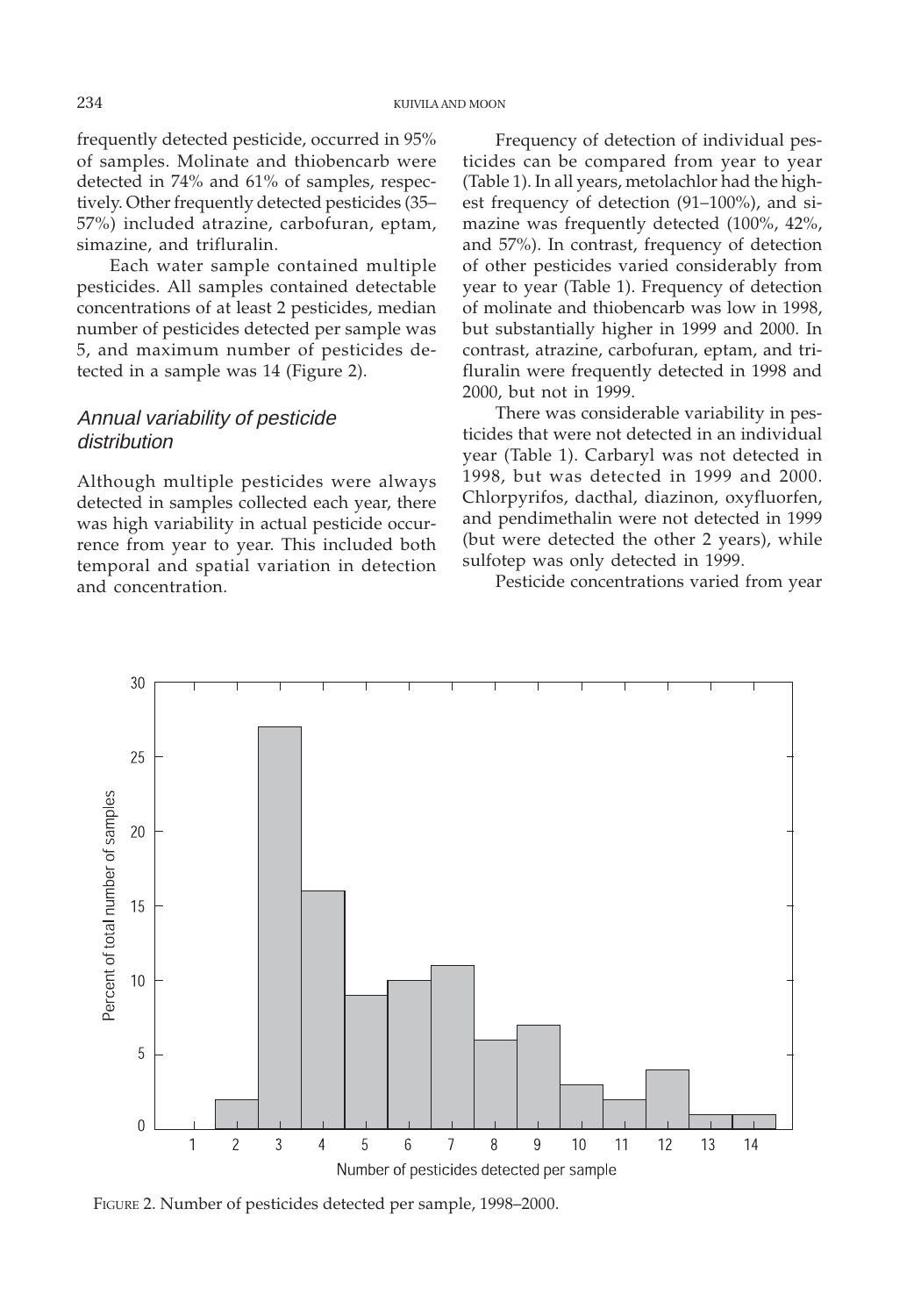frequently detected pesticide, occurred in 95% of samples. Molinate and thiobencarb were detected in 74% and 61% of samples, respectively. Other frequently detected pesticides (35– 57%) included atrazine, carbofuran, eptam, simazine, and trifluralin.

Each water sample contained multiple pesticides. All samples contained detectable concentrations of at least 2 pesticides, median number of pesticides detected per sample was 5, and maximum number of pesticides detected in a sample was 14 (Figure 2).

## Annual variability of pesticide distribution

Although multiple pesticides were always detected in samples collected each year, there was high variability in actual pesticide occurrence from year to year. This included both temporal and spatial variation in detection and concentration.

Frequency of detection of individual pesticides can be compared from year to year (Table 1). In all years, metolachlor had the highest frequency of detection (91–100%), and simazine was frequently detected (100%, 42%, and 57%). In contrast, frequency of detection of other pesticides varied considerably from year to year (Table 1). Frequency of detection of molinate and thiobencarb was low in 1998, but substantially higher in 1999 and 2000. In contrast, atrazine, carbofuran, eptam, and trifluralin were frequently detected in 1998 and 2000, but not in 1999.

There was considerable variability in pesticides that were not detected in an individual year (Table 1). Carbaryl was not detected in 1998, but was detected in 1999 and 2000. Chlorpyrifos, dacthal, diazinon, oxyfluorfen, and pendimethalin were not detected in 1999 (but were detected the other 2 years), while sulfotep was only detected in 1999.

Pesticide concentrations varied from year



FIGURE 2. Number of pesticides detected per sample, 1998–2000.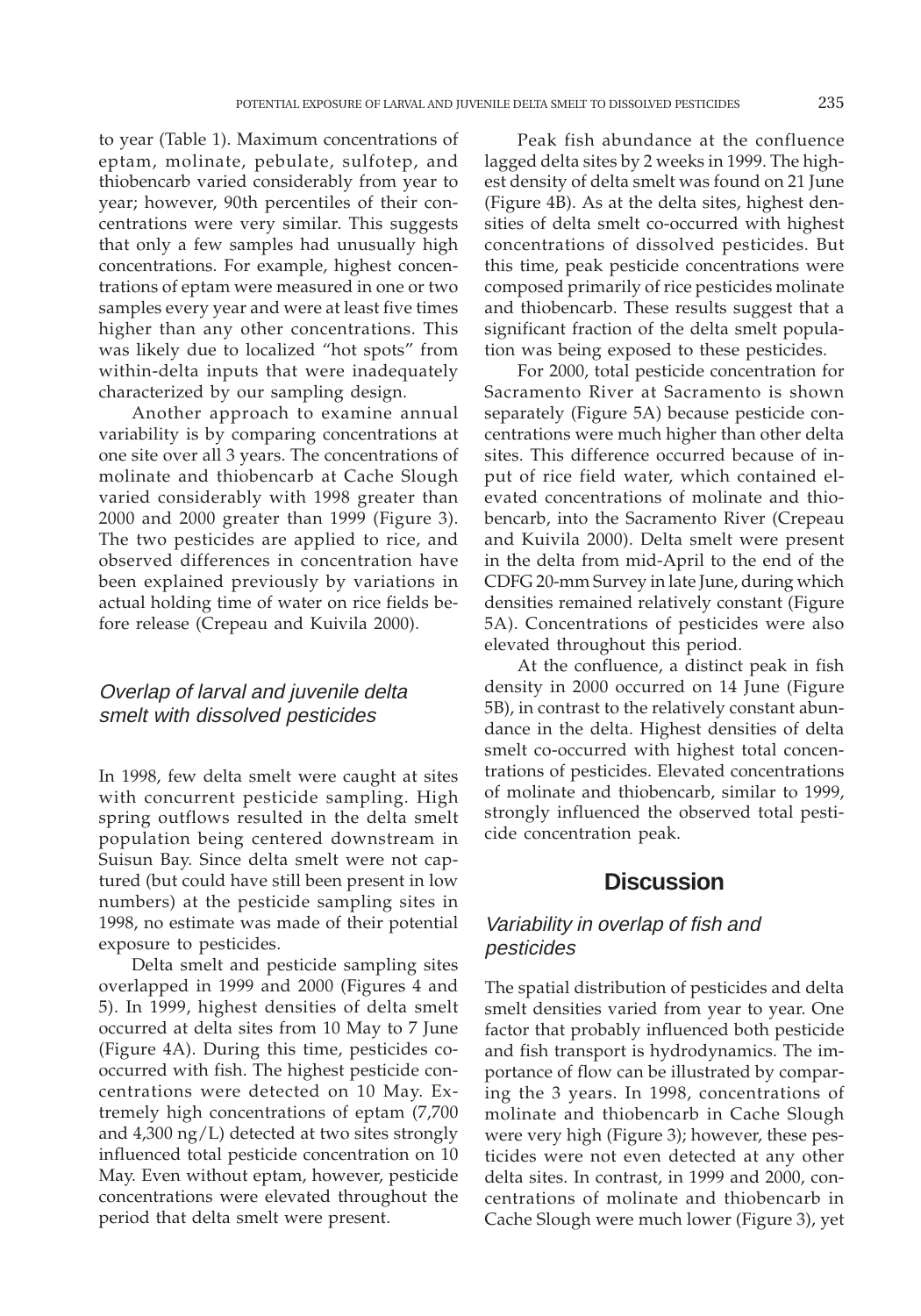to year (Table 1). Maximum concentrations of eptam, molinate, pebulate, sulfotep, and thiobencarb varied considerably from year to year; however, 90th percentiles of their concentrations were very similar. This suggests that only a few samples had unusually high concentrations. For example, highest concentrations of eptam were measured in one or two samples every year and were at least five times higher than any other concentrations. This was likely due to localized "hot spots" from within-delta inputs that were inadequately characterized by our sampling design.

Another approach to examine annual variability is by comparing concentrations at one site over all 3 years. The concentrations of molinate and thiobencarb at Cache Slough varied considerably with 1998 greater than 2000 and 2000 greater than 1999 (Figure 3). The two pesticides are applied to rice, and observed differences in concentration have been explained previously by variations in actual holding time of water on rice fields before release (Crepeau and Kuivila 2000).

## Overlap of larval and juvenile delta smelt with dissolved pesticides

In 1998, few delta smelt were caught at sites with concurrent pesticide sampling. High spring outflows resulted in the delta smelt population being centered downstream in Suisun Bay. Since delta smelt were not captured (but could have still been present in low numbers) at the pesticide sampling sites in 1998, no estimate was made of their potential exposure to pesticides.

Delta smelt and pesticide sampling sites overlapped in 1999 and 2000 (Figures 4 and 5). In 1999, highest densities of delta smelt occurred at delta sites from 10 May to 7 June (Figure 4A). During this time, pesticides cooccurred with fish. The highest pesticide concentrations were detected on 10 May. Extremely high concentrations of eptam (7,700 and 4,300 ng/L) detected at two sites strongly influenced total pesticide concentration on 10 May. Even without eptam, however, pesticide concentrations were elevated throughout the period that delta smelt were present.

Peak fish abundance at the confluence lagged delta sites by 2 weeks in 1999. The highest density of delta smelt was found on 21 June (Figure 4B). As at the delta sites, highest densities of delta smelt co-occurred with highest concentrations of dissolved pesticides. But this time, peak pesticide concentrations were composed primarily of rice pesticides molinate and thiobencarb. These results suggest that a significant fraction of the delta smelt population was being exposed to these pesticides.

For 2000, total pesticide concentration for Sacramento River at Sacramento is shown separately (Figure 5A) because pesticide concentrations were much higher than other delta sites. This difference occurred because of input of rice field water, which contained elevated concentrations of molinate and thiobencarb, into the Sacramento River (Crepeau and Kuivila 2000). Delta smelt were present in the delta from mid-April to the end of the CDFG 20-mm Survey in late June, during which densities remained relatively constant (Figure 5A). Concentrations of pesticides were also elevated throughout this period.

At the confluence, a distinct peak in fish density in 2000 occurred on 14 June (Figure 5B), in contrast to the relatively constant abundance in the delta. Highest densities of delta smelt co-occurred with highest total concentrations of pesticides. Elevated concentrations of molinate and thiobencarb, similar to 1999, strongly influenced the observed total pesticide concentration peak.

## **Discussion**

## Variability in overlap of fish and pesticides

The spatial distribution of pesticides and delta smelt densities varied from year to year. One factor that probably influenced both pesticide and fish transport is hydrodynamics. The importance of flow can be illustrated by comparing the 3 years. In 1998, concentrations of molinate and thiobencarb in Cache Slough were very high (Figure 3); however, these pesticides were not even detected at any other delta sites. In contrast, in 1999 and 2000, concentrations of molinate and thiobencarb in Cache Slough were much lower (Figure 3), yet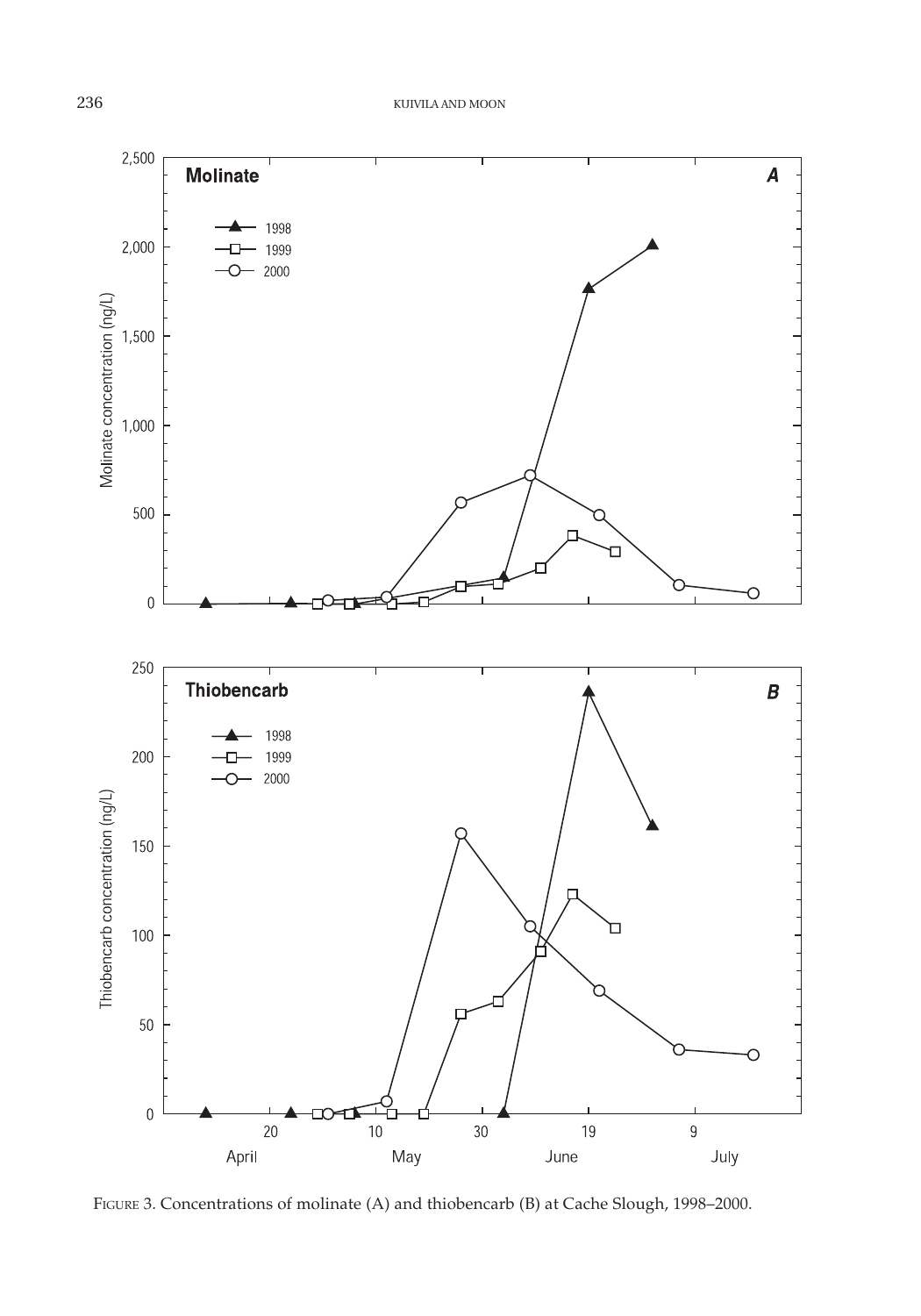

FIGURE 3. Concentrations of molinate (A) and thiobencarb (B) at Cache Slough, 1998-2000.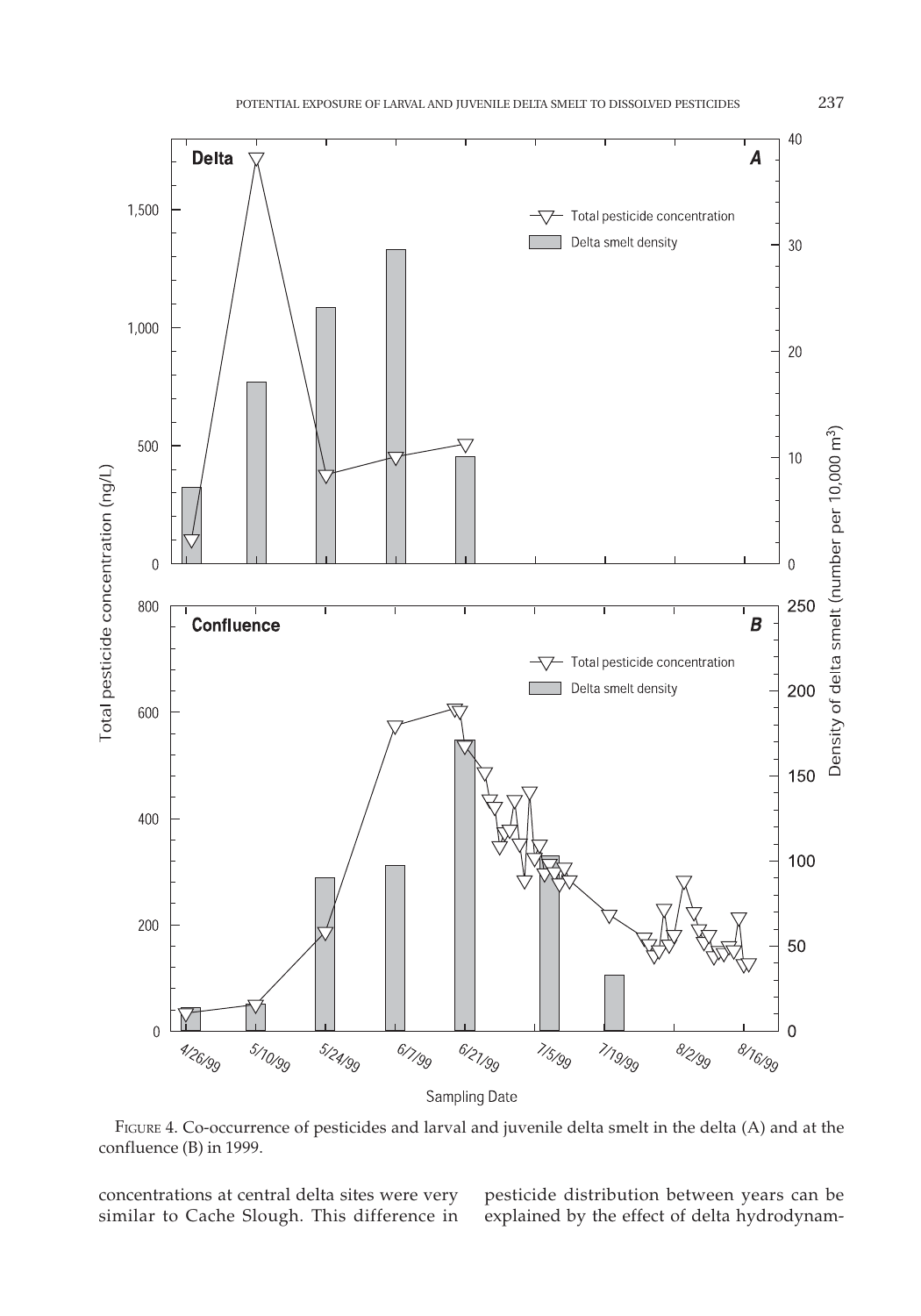

FIGURE 4. Co-occurrence of pesticides and larval and juvenile delta smelt in the delta (A) and at the confluence (B) in 1999.

concentrations at central delta sites were very similar to Cache Slough. This difference in pesticide distribution between years can be explained by the effect of delta hydrodynam-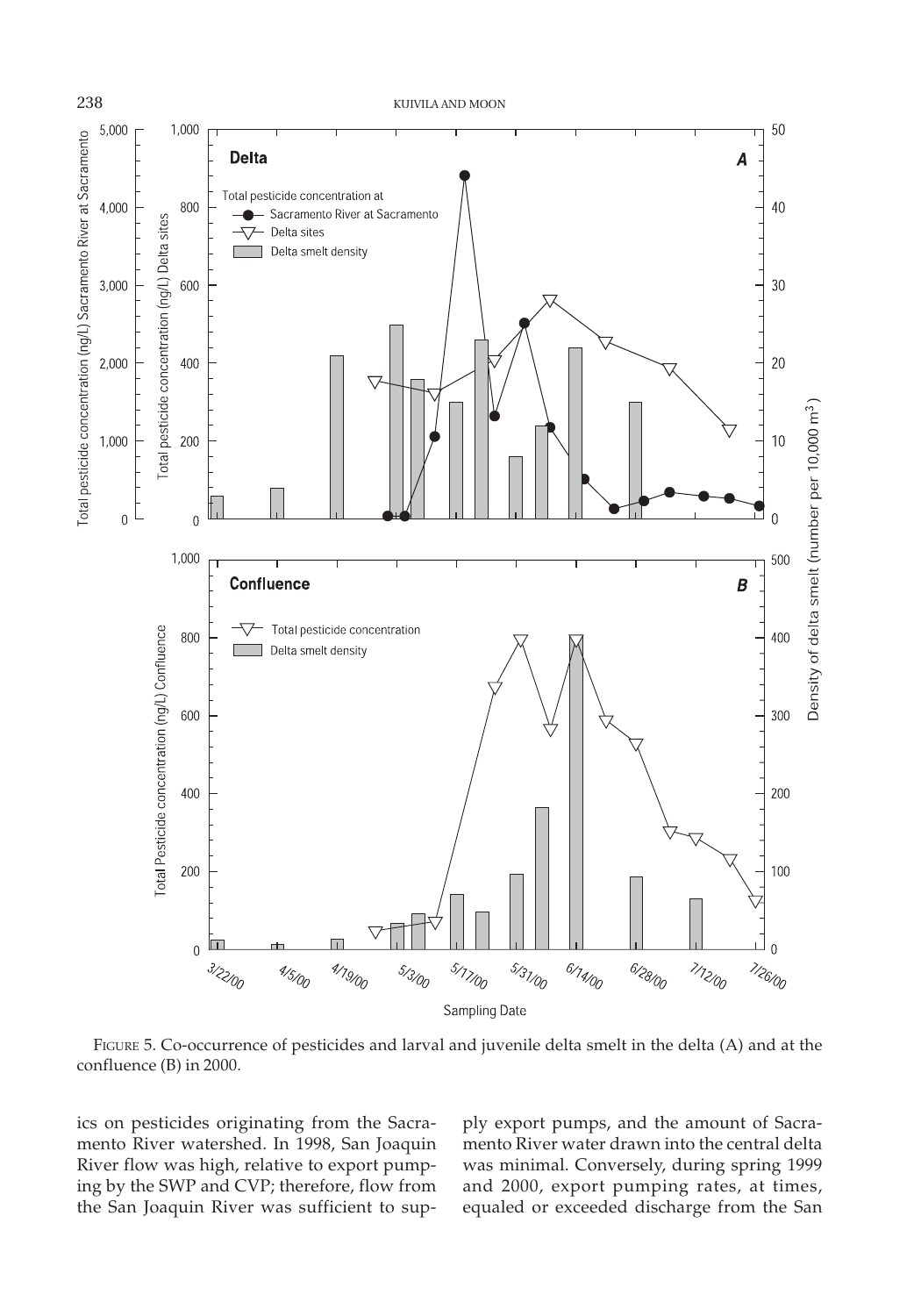

FIGURE 5. Co-occurrence of pesticides and larval and juvenile delta smelt in the delta (A) and at the confluence (B) in 2000.

ics on pesticides originating from the Sacramento River watershed. In 1998, San Joaquin River flow was high, relative to export pumping by the SWP and CVP; therefore, flow from the San Joaquin River was sufficient to supply export pumps, and the amount of Sacramento River water drawn into the central delta was minimal. Conversely, during spring 1999 and 2000, export pumping rates, at times, equaled or exceeded discharge from the San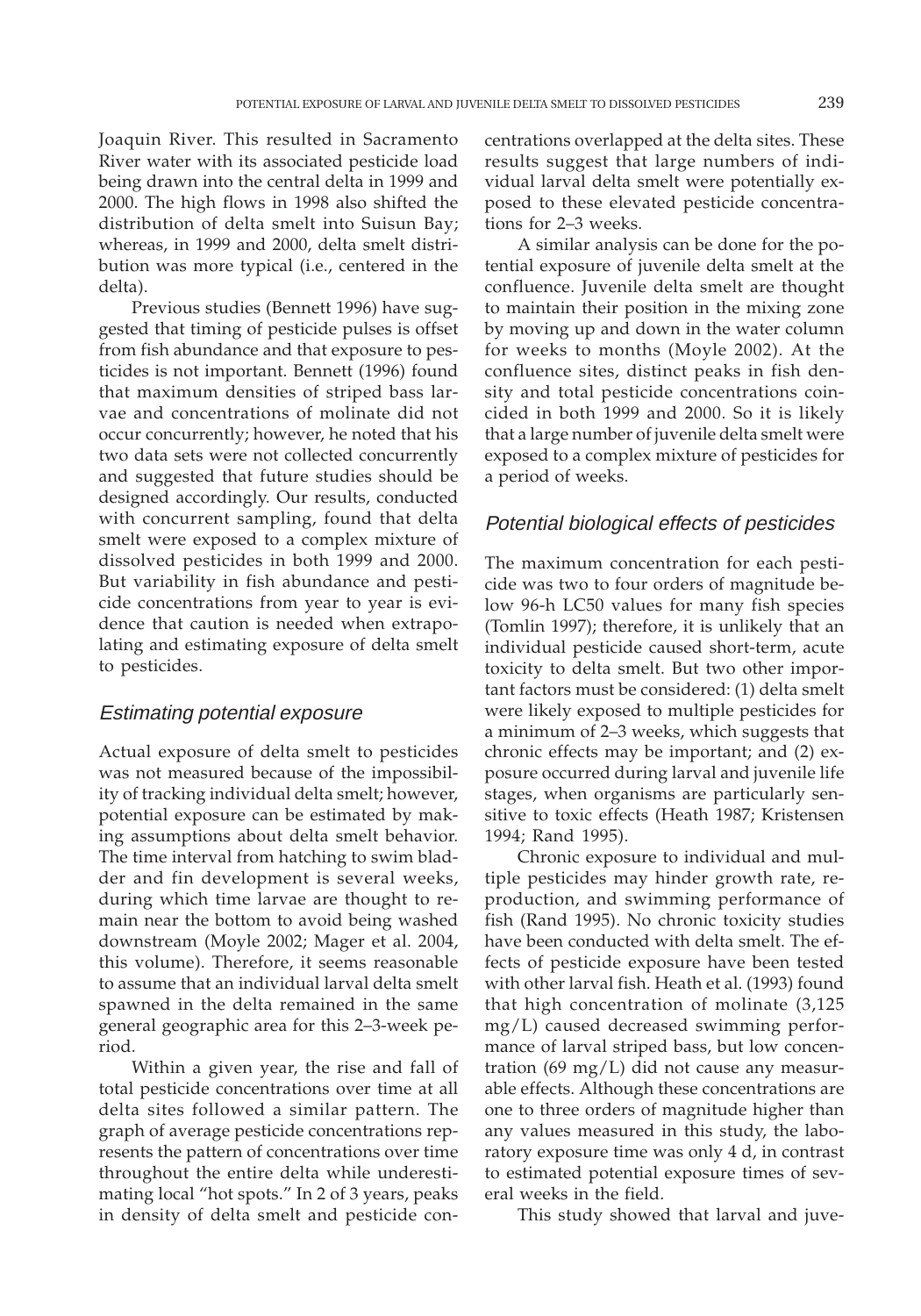Joaquin River. This resulted in Sacramento River water with its associated pesticide load being drawn into the central delta in 1999 and 2000. The high flows in 1998 also shifted the distribution of delta smelt into Suisun Bay; whereas, in 1999 and 2000, delta smelt distribution was more typical (i.e., centered in the delta).

Previous studies (Bennett 1996) have suggested that timing of pesticide pulses is offset from fish abundance and that exposure to pesticides is not important. Bennett (1996) found that maximum densities of striped bass larvae and concentrations of molinate did not occur concurrently; however, he noted that his two data sets were not collected concurrently and suggested that future studies should be designed accordingly. Our results, conducted with concurrent sampling, found that delta smelt were exposed to a complex mixture of dissolved pesticides in both 1999 and 2000. But variability in fish abundance and pesticide concentrations from year to year is evidence that caution is needed when extrapolating and estimating exposure of delta smelt to pesticides.

#### Estimating potential exposure

Actual exposure of delta smelt to pesticides was not measured because of the impossibility of tracking individual delta smelt; however, potential exposure can be estimated by making assumptions about delta smelt behavior. The time interval from hatching to swim bladder and fin development is several weeks, during which time larvae are thought to remain near the bottom to avoid being washed downstream (Moyle 2002; Mager et al. 2004, this volume). Therefore, it seems reasonable to assume that an individual larval delta smelt spawned in the delta remained in the same general geographic area for this 2–3-week period.

Within a given year, the rise and fall of total pesticide concentrations over time at all delta sites followed a similar pattern. The graph of average pesticide concentrations represents the pattern of concentrations over time throughout the entire delta while underestimating local "hot spots." In 2 of 3 years, peaks in density of delta smelt and pesticide concentrations overlapped at the delta sites. These results suggest that large numbers of individual larval delta smelt were potentially exposed to these elevated pesticide concentrations for 2–3 weeks.

A similar analysis can be done for the potential exposure of juvenile delta smelt at the confluence. Juvenile delta smelt are thought to maintain their position in the mixing zone by moving up and down in the water column for weeks to months (Moyle 2002). At the confluence sites, distinct peaks in fish density and total pesticide concentrations coincided in both 1999 and 2000. So it is likely that a large number of juvenile delta smelt were exposed to a complex mixture of pesticides for a period of weeks.

#### Potential biological effects of pesticides

The maximum concentration for each pesticide was two to four orders of magnitude below 96-h LC50 values for many fish species (Tomlin 1997); therefore, it is unlikely that an individual pesticide caused short-term, acute toxicity to delta smelt. But two other important factors must be considered: (1) delta smelt were likely exposed to multiple pesticides for a minimum of 2–3 weeks, which suggests that chronic effects may be important; and (2) exposure occurred during larval and juvenile life stages, when organisms are particularly sensitive to toxic effects (Heath 1987; Kristensen 1994; Rand 1995).

Chronic exposure to individual and multiple pesticides may hinder growth rate, reproduction, and swimming performance of fish (Rand 1995). No chronic toxicity studies have been conducted with delta smelt. The effects of pesticide exposure have been tested with other larval fish. Heath et al. (1993) found that high concentration of molinate (3,125 mg/L) caused decreased swimming performance of larval striped bass, but low concentration (69 mg/L) did not cause any measurable effects. Although these concentrations are one to three orders of magnitude higher than any values measured in this study, the laboratory exposure time was only 4 d, in contrast to estimated potential exposure times of several weeks in the field.

This study showed that larval and juve-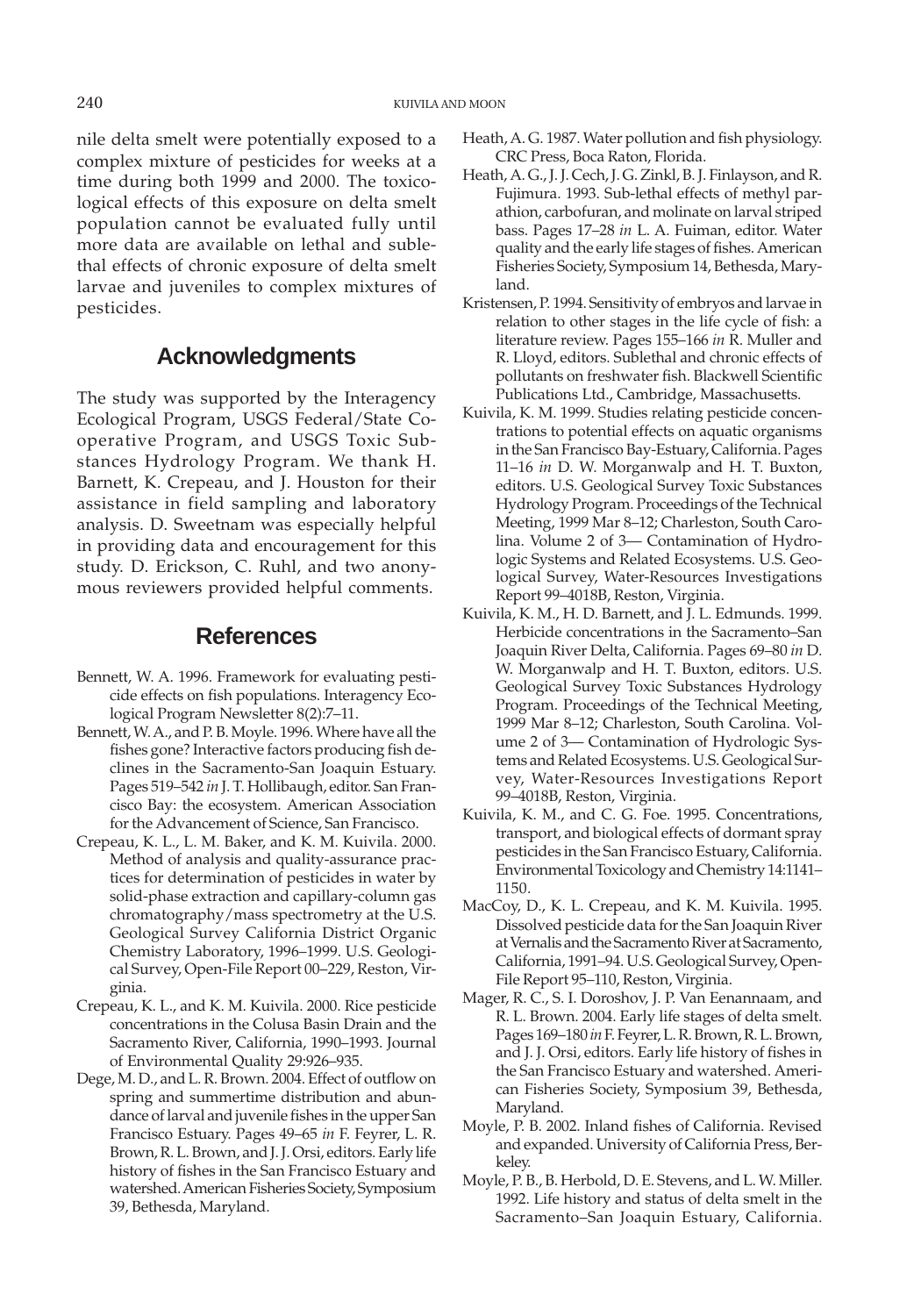nile delta smelt were potentially exposed to a complex mixture of pesticides for weeks at a time during both 1999 and 2000. The toxicological effects of this exposure on delta smelt population cannot be evaluated fully until more data are available on lethal and sublethal effects of chronic exposure of delta smelt larvae and juveniles to complex mixtures of pesticides.

# **Acknowledgments**

The study was supported by the Interagency Ecological Program, USGS Federal/State Cooperative Program, and USGS Toxic Substances Hydrology Program. We thank H. Barnett, K. Crepeau, and J. Houston for their assistance in field sampling and laboratory analysis. D. Sweetnam was especially helpful in providing data and encouragement for this study. D. Erickson, C. Ruhl, and two anonymous reviewers provided helpful comments.

## **References**

- Bennett, W. A. 1996. Framework for evaluating pesticide effects on fish populations. Interagency Ecological Program Newsletter 8(2):7–11.
- Bennett, W. A., and P. B. Moyle. 1996. Where have all the fishes gone? Interactive factors producing fish declines in the Sacramento-San Joaquin Estuary. Pages 519–542 *in* J. T. Hollibaugh, editor. San Francisco Bay: the ecosystem. American Association for the Advancement of Science, San Francisco.
- Crepeau, K. L., L. M. Baker, and K. M. Kuivila. 2000. Method of analysis and quality-assurance practices for determination of pesticides in water by solid-phase extraction and capillary-column gas chromatography/mass spectrometry at the U.S. Geological Survey California District Organic Chemistry Laboratory, 1996–1999. U.S. Geological Survey, Open-File Report 00–229, Reston, Virginia.
- Crepeau, K. L., and K. M. Kuivila. 2000. Rice pesticide concentrations in the Colusa Basin Drain and the Sacramento River, California, 1990–1993. Journal of Environmental Quality 29:926–935.
- Dege, M. D., and L. R. Brown. 2004. Effect of outflow on spring and summertime distribution and abundance of larval and juvenile fishes in the upper San Francisco Estuary. Pages 49–65 *in* F. Feyrer, L. R. Brown, R. L. Brown, and J. J. Orsi, editors. Early life history of fishes in the San Francisco Estuary and watershed. American Fisheries Society, Symposium 39, Bethesda, Maryland.
- Heath, A. G. 1987. Water pollution and fish physiology. CRC Press, Boca Raton, Florida.
- Heath, A. G., J. J. Cech, J. G. Zinkl, B. J. Finlayson, and R. Fujimura. 1993. Sub-lethal effects of methyl parathion, carbofuran, and molinate on larval striped bass. Pages 17–28 *in* L. A. Fuiman, editor. Water quality and the early life stages of fishes. American Fisheries Society, Symposium 14, Bethesda, Maryland.
- Kristensen, P. 1994. Sensitivity of embryos and larvae in relation to other stages in the life cycle of fish: a literature review. Pages 155–166 *in* R. Muller and R. Lloyd, editors. Sublethal and chronic effects of pollutants on freshwater fish. Blackwell Scientific Publications Ltd., Cambridge, Massachusetts.
- Kuivila, K. M. 1999. Studies relating pesticide concentrations to potential effects on aquatic organisms in the San Francisco Bay-Estuary, California. Pages 11–16 *in* D. W. Morganwalp and H. T. Buxton, editors. U.S. Geological Survey Toxic Substances Hydrology Program. Proceedings of the Technical Meeting, 1999 Mar 8–12; Charleston, South Carolina. Volume 2 of 3— Contamination of Hydrologic Systems and Related Ecosystems. U.S. Geological Survey, Water-Resources Investigations Report 99–4018B, Reston, Virginia.
- Kuivila, K. M., H. D. Barnett, and J. L. Edmunds. 1999. Herbicide concentrations in the Sacramento–San Joaquin River Delta, California. Pages 69–80 *in* D. W. Morganwalp and H. T. Buxton, editors. U.S. Geological Survey Toxic Substances Hydrology Program. Proceedings of the Technical Meeting, 1999 Mar 8–12; Charleston, South Carolina. Volume 2 of 3— Contamination of Hydrologic Systems and Related Ecosystems. U.S. Geological Survey, Water-Resources Investigations Report 99–4018B, Reston, Virginia.
- Kuivila, K. M., and C. G. Foe. 1995. Concentrations, transport, and biological effects of dormant spray pesticides in the San Francisco Estuary, California. Environmental Toxicology and Chemistry 14:1141– 1150.
- MacCoy, D., K. L. Crepeau, and K. M. Kuivila. 1995. Dissolved pesticide data for the San Joaquin River at Vernalis and the Sacramento River at Sacramento, California, 1991–94. U.S. Geological Survey, Open-File Report 95–110, Reston, Virginia.
- Mager, R. C., S. I. Doroshov, J. P. Van Eenannaam, and R. L. Brown. 2004. Early life stages of delta smelt. Pages 169–180 *in* F. Feyrer, L. R. Brown, R. L. Brown, and J. J. Orsi, editors. Early life history of fishes in the San Francisco Estuary and watershed. American Fisheries Society, Symposium 39, Bethesda, Maryland.
- Moyle, P. B. 2002. Inland fishes of California. Revised and expanded. University of California Press, Berkeley.
- Moyle, P. B., B. Herbold, D. E. Stevens, and L. W. Miller. 1992. Life history and status of delta smelt in the Sacramento–San Joaquin Estuary, California.